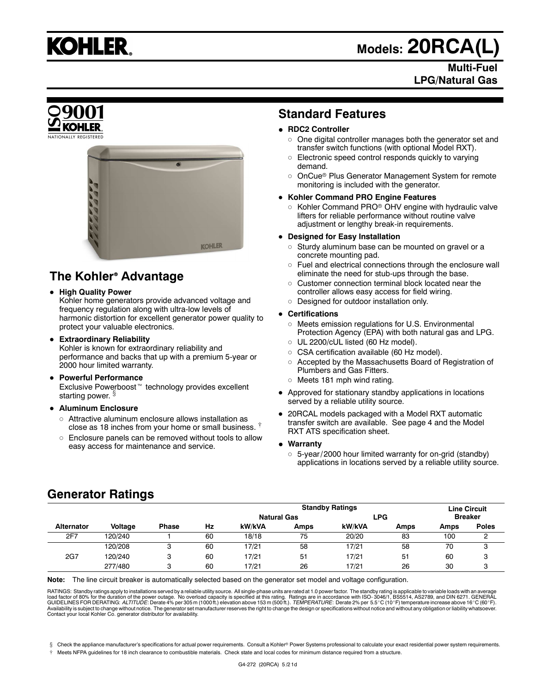

## **Models: 20RCA(L)**

## **Multi-Fuel LPG/Natural Gas**



## **Standard Features**

#### **RDC2 Controller**

- $\circ~$  One digital controller manages both the generator set and transfer switch functions (with optional Model RXT).
- $\circ$  Electronic speed control responds quickly to varying demand.
- $\circ$ OnCue<sup>®</sup> Plus Generator Management System for remote monitoring is included with the generator.

#### **Kohler Command PRO Engine Features**

 $\circ~$  Kohler Command PRO® OHV engine with hydraulic valve lifters for reliable performance without routine valve adjustment or lengthy break-in requirements.

#### **Designed for Easy Installation**

- $\circ$  Sturdy aluminum base can be mounted on gravel or a concrete mounting pad.
- $\circ~$  Fuel and electrical connections through the enclosure wall eliminate the need for stub-ups through the base.
- $\circ$  Customer connection terminal block located near the controller allows easy access for field wiring.
- Designed for outdoor installation only.

#### **Certifications**

- $\circ$  Meets emission regulations for U.S. Environmental Protection Agency (EPA) with both natural gas and LPG.
- $\circ~$  UL 2200/cUL listed (60 Hz model).
- CSA certification available (60 Hz model).
- Accepted by the Massachusetts Board of Registration of Plumbers and Gas Fitters.
- Meets 181 mph wind rating.
- Approved for stationary standby applications in locations served by a reliable utility source.
- 20RCAL models packaged with a Model RXT automatic transfer switch are available. See page 4 and the Model RXT ATS specification sheet.
- **Warranty**
	- 5-year/2000 hour limited warranty for on-grid (standby) applications in locations served by a reliable utility source.

## **The Kohler Advantage**

#### **High Quality Power**

Kohler home generators provide advanced voltage and frequency regulation along with ultra-low levels of harmonic distortion for excellent generator power quality to protect your valuable electronics.

**KOHLER** 

#### **Extraordinary Reliability**

Kohler is known for extraordinary reliability and performance and backs that up with a premium 5-year or 2000 hour limited warranty.

- **Powerful Performance** Exclusive Powerboost<sup>™</sup> technology provides excellent starting power. §
- **Aluminum Enclosure**
	- $\circ~$  Attractive aluminum enclosure allows installation as close as 18 inches from your home or small business.  $\frac{1}{3}$
	- $\circ$  Enclosure panels can be removed without tools to allow easy access for maintenance and service.

## **Generator Ratings**

|                   |         |              |    | <b>Standby Ratings</b> |      |        |      | <b>Line Circuit</b> |              |
|-------------------|---------|--------------|----|------------------------|------|--------|------|---------------------|--------------|
|                   |         |              |    | <b>Natural Gas</b>     |      | LPG    |      | <b>Breaker</b>      |              |
| <b>Alternator</b> | Voltage | <b>Phase</b> | Hz | kW/kVA                 | Amps | kW/kVA | Amps | Amps                | <b>Poles</b> |
| 2F7               | 120/240 |              | 60 | 18/18                  | 75   | 20/20  | 83   | 100                 |              |
|                   | 120/208 | ິ<br>ت       | 60 | 17/21                  | 58   | 17/21  | 58   | 70                  | C<br>ت       |
| 2G7               | 120/240 | 3            | 60 | 17/21                  | 51   | 17/21  | 51   | 60                  | 3            |
|                   | 277/480 |              | 60 | 17/21                  | 26   | 17/21  | 26   | 30                  |              |

**Note:** The line circuit breaker is automatically selected based on the generator set model and voltage configuration.

RATINGS: Standby ratings apply to installations served by a reliable utility source. All single-phase units are rated at 1.0 power factor. The standby rating is applicable to variable loads with an average<br>load factor of 8

§ Check the appliance manufacturer's specifications for actual power requirements. Consult a Kohler® Power Systems professional to calculate your exact residential power system requirements.

Meets NFPA guidelines for 18 inch clearance to combustible materials. Check state and local codes for minimum distance required from a structure.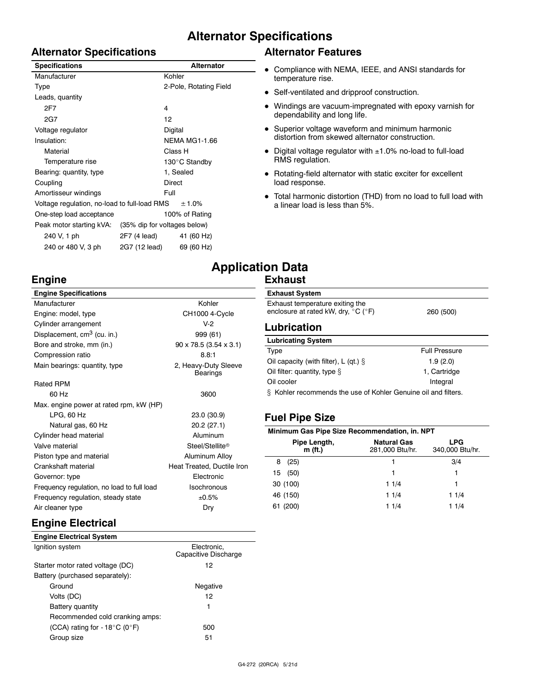## **Alternator Specifications**

### **Alternator Specifications**

| <b>Specifications</b>                        |                              | <b>Alternator</b>      |  |
|----------------------------------------------|------------------------------|------------------------|--|
| Manufacturer                                 |                              | Kohler                 |  |
| Type                                         |                              | 2-Pole, Rotating Field |  |
| Leads, quantity                              |                              |                        |  |
| 2F7                                          |                              | 4                      |  |
| 2G7                                          |                              | 12                     |  |
| Voltage regulator                            |                              | Digital                |  |
| Insulation:                                  |                              | <b>NEMA MG1-1.66</b>   |  |
| Material                                     |                              | Class H                |  |
| Temperature rise                             |                              | 130°C Standby          |  |
| Bearing: quantity, type                      |                              | 1, Sealed              |  |
| Coupling                                     | Direct                       |                        |  |
| Amortisseur windings                         |                              | Full                   |  |
| Voltage regulation, no-load to full-load RMS |                              | ± 1.0%                 |  |
| One-step load acceptance                     | 100% of Rating               |                        |  |
| Peak motor starting kVA:                     | (35% dip for voltages below) |                        |  |
| 240 V, 1 ph                                  | 2F7 (4 lead)                 | 41 (60 Hz)             |  |
| 240 or 480 V, 3 ph                           | 2G7 (12 lead)                | 69 (60 Hz)             |  |

## **Alternator Features**

- Compliance with NEMA, IEEE, and ANSI standards for temperature rise.
- Self-ventilated and dripproof construction.
- Windings are vacuum-impregnated with epoxy varnish for dependability and long life.
- Superior voltage waveform and minimum harmonic distortion from skewed alternator construction.
- Digital voltage regulator with ±1.0% no-load to full-load RMS regulation.
- Rotating-field alternator with static exciter for excellent load response.

30 (100) 1 1/4 1 46 (150) 1 1/4 1 1/4 61 (200) 1 1/4 1 1/4

 Total harmonic distortion (THD) from no load to full load with a linear load is less than 5%.

## **Engine**

## **Application Data Exhaust**

| <b>Engine Specifications</b>            |                                      | <b>Exhaust System</b>                                          |                                       |                               |  |
|-----------------------------------------|--------------------------------------|----------------------------------------------------------------|---------------------------------------|-------------------------------|--|
| Manufacturer                            | Kohler                               | Exhaust temperature exiting the                                |                                       |                               |  |
| Engine: model, type                     | <b>CH1000 4-Cycle</b>                | enclosure at rated kW, dry, $^{\circ}$ C ( $^{\circ}$ F)       |                                       | 260 (500)                     |  |
| Cylinder arrangement                    | $V-2$                                | <b>Lubrication</b>                                             |                                       |                               |  |
| Displacement, cm <sup>3</sup> (cu. in.) | 999 (61)                             |                                                                |                                       |                               |  |
| Bore and stroke, mm (in.)               | $90 \times 78.5$ (3.54 $\times$ 3.1) | <b>Lubricating System</b>                                      |                                       |                               |  |
| Compression ratio                       | 8.8:1                                | Type                                                           |                                       | <b>Full Pressure</b>          |  |
| Main bearings: quantity, type           | 2, Heavy-Duty Sleeve                 | Oil capacity (with filter), L (qt.) $\S$                       |                                       | 1.9(2.0)                      |  |
|                                         | Bearings                             | Oil filter: quantity, type $\S$                                |                                       | 1, Cartridge                  |  |
| <b>Rated RPM</b>                        |                                      | Oil cooler                                                     |                                       | Integral                      |  |
| 60 Hz                                   | 3600                                 | § Kohler recommends the use of Kohler Genuine oil and filters. |                                       |                               |  |
| Max. engine power at rated rpm, kW (HP) |                                      |                                                                |                                       |                               |  |
| $LPG$ , 60 Hz                           | 23.0 (30.9)                          | <b>Fuel Pipe Size</b>                                          |                                       |                               |  |
| Natural gas, 60 Hz                      | 20.2(27.1)                           |                                                                |                                       |                               |  |
| Cylinder head material                  | Aluminum                             | Minimum Gas Pipe Size Recommendation, in. NPT                  |                                       |                               |  |
| Valve material                          | Steel/Stellite®                      | Pipe Length,<br>m (ft.)                                        | <b>Natural Gas</b><br>281,000 Btu/hr. | <b>LPG</b><br>340,000 Btu/hr. |  |
| Piston type and material                | Aluminum Alloy                       |                                                                |                                       |                               |  |
| Crankshaft material                     | Heat Treated, Ductile Iron           | (25)<br>8                                                      |                                       | 3/4                           |  |
| $Converror + ma$                        | Elootropio                           | 15<br>(50)                                                     |                                       |                               |  |

| Frequency regulation, steady state | ±0.5% |
|------------------------------------|-------|
| Air cleaner type                   | Dry   |

## **Engine Electrical**

| <b>Engine Electrical System</b>                     |                                     |
|-----------------------------------------------------|-------------------------------------|
| Ignition system                                     | Electronic.<br>Capacitive Discharge |
| Starter motor rated voltage (DC)                    | 12                                  |
| Battery (purchased separately):                     |                                     |
| Ground                                              | Negative                            |
| Volts (DC)                                          | 12                                  |
| Battery quantity                                    | 1                                   |
| Recommended cold cranking amps:                     |                                     |
| (CCA) rating for - 18 $^{\circ}$ C (0 $^{\circ}$ F) | 500                                 |
| Group size                                          | 51                                  |

Governor: type Electronic Frequency regulation, no load to full load Isochronous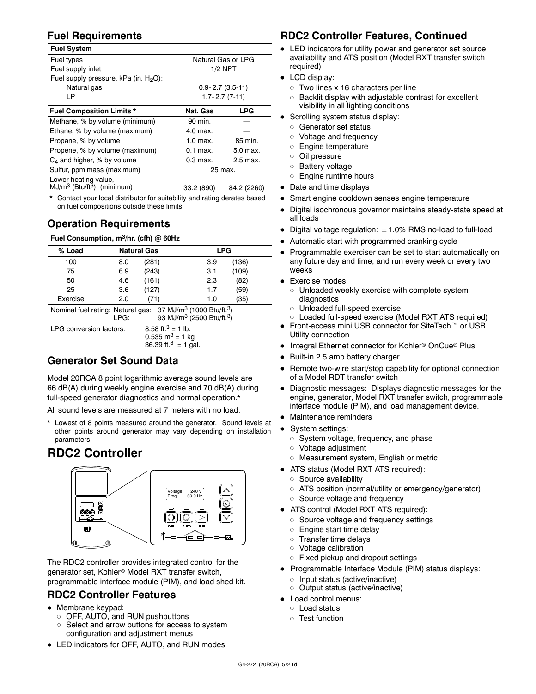## **Fuel Requirements**

| <b>Fuel System</b>                                                |                       |                     |  |
|-------------------------------------------------------------------|-----------------------|---------------------|--|
| Fuel types                                                        | Natural Gas or LPG    |                     |  |
| Fuel supply inlet                                                 | $1/2$ NPT             |                     |  |
| Fuel supply pressure, kPa (in. $H_2O$ ):                          |                       |                     |  |
| Natural gas                                                       | $0.9 - 2.7(3.5 - 11)$ |                     |  |
| LР                                                                |                       | $1.7 - 2.7(7 - 11)$ |  |
| <b>Fuel Composition Limits *</b>                                  | Nat. Gas              | <b>LPG</b>          |  |
| Methane, % by volume (minimum)                                    | 90 min.               |                     |  |
| Ethane, % by volume (maximum)                                     | 4.0 max.              |                     |  |
| Propane, % by volume                                              | $1.0$ max.            | 85 min.             |  |
| Propene, % by volume (maximum)                                    | $0.1$ max.            | 5.0 max.            |  |
| $C_4$ and higher, % by volume                                     | $0.3$ max.            | 2.5 max.            |  |
| Sulfur, ppm mass (maximum)                                        | 25 max.               |                     |  |
| Lower heating value,<br>$MJ/m3$ (Btu/ft <sup>3</sup> ), (minimum) | 33.2 (890)            | 84.2 (2260)         |  |
|                                                                   |                       |                     |  |

\* Contact your local distributor for suitability and rating derates based on fuel compositions outside these limits.

## **Operation Requirements**

| Fuel Consumption, $m^3$ /hr. (cfh) @ 60Hz                                                                                                        |     |                    |                                                                                                        |            |  |
|--------------------------------------------------------------------------------------------------------------------------------------------------|-----|--------------------|--------------------------------------------------------------------------------------------------------|------------|--|
| % Load                                                                                                                                           |     | <b>Natural Gas</b> |                                                                                                        | <b>LPG</b> |  |
| 100                                                                                                                                              | 8.0 | (281)              | 3.9                                                                                                    | (136)      |  |
| 75                                                                                                                                               | 6.9 | (243)              | 3.1                                                                                                    | (109)      |  |
| 50                                                                                                                                               | 4.6 | (161)              | 2.3                                                                                                    | (82)       |  |
| 25                                                                                                                                               | 3.6 | (127)              | 1.7                                                                                                    | (59)       |  |
| Exercise                                                                                                                                         | 2.0 | (71)               | 1.0                                                                                                    | (35)       |  |
| Nominal fuel rating: Natural gas: 37 MJ/m <sup>3</sup> (1000 Btu/ft. <sup>3</sup> )<br>93 MJ/m <sup>3</sup> (2500 Btu/ft. <sup>3</sup> )<br>LPG: |     |                    |                                                                                                        |            |  |
| LPG conversion factors:                                                                                                                          |     |                    | 8.58 ft. <sup>3</sup> = 1 lb.<br>$0.535 \text{ m}^3 = 1 \text{ kg}$<br>36.39 ft. <sup>3</sup> = 1 gal. |            |  |

## **Generator Set Sound Data**

Model 20RCA 8 point logarithmic average sound levels are 66 dB(A) during weekly engine exercise and 70 dB(A) during full-speed generator diagnostics and normal operation.\*

All sound levels are measured at 7 meters with no load.

\* Lowest of 8 points measured around the generator. Sound levels at other points around generator may vary depending on installation parameters.

## **RDC2 Controller**



The RDC2 controller provides integrated control for the generator set, Kohler<sup>®</sup> Model RXT transfer switch, programmable interface module (PIM), and load shed kit.

## **RDC2 Controller Features**

- Membrane keypad:
	- $\circ~$  OFF, AUTO, and RUN pushbuttons
	- $\circ~$  Select and arrow buttons for access to system configuration and adjustment menus
- LED indicators for OFF, AUTO, and RUN modes

## **RDC2 Controller Features, Continued**

- LED indicators for utility power and generator set source availability and ATS position (Model RXT transfer switch required)
- LCD display:
	- $\circ~$  Two lines x 16 characters per line
	- $\circ~$  Backlit display with adjustable contrast for excellent visibility in all lighting conditions
- Scrolling system status display:
	- $\circ$  Generator set status
	- Voltage and frequency
	- Engine temperature
	- $\circ~$  Oil pressure
	- Battery voltage
	- $\circ~$  Engine runtime hours
- Date and time displays
- Smart engine cooldown senses engine temperature
- Digital isochronous governor maintains steady-state speed at all loads
- $\bullet$  Digital voltage regulation:  $\pm$  1.0% RMS no-load to full-load
- Automatic start with programmed cranking cycle
- Programmable exerciser can be set to start automatically on any future day and time, and run every week or every two weeks
- Exercise modes:
	- $\circ~$  Unloaded weekly exercise with complete system diagnostics
	- Unloaded full-speed exercise
	- Loaded full-speed exercise (Model RXT ATS required)
- $\bullet$  Front-access mini USB connector for SiteTech<sup> $m$ </sup> or USB Utility connection
- Integral Ethernet connector for Kohler<sup>®</sup> OnCue<sup>®</sup> Plus
- Built-in 2.5 amp battery charger
- Remote two-wire start/stop capability for optional connection of a Model RDT transfer switch
- Diagnostic messages: Displays diagnostic messages for the engine, generator, Model RXT transfer switch, programmable interface module (PIM), and load management device.
- Maintenance reminders
- System settings:
	- System voltage, frequency, and phase
	- Voltage adjustment
	- Measurement system, English or metric
- ATS status (Model RXT ATS required):
	- $\circ$  Source availability
	- ATS position (normal/utility or emergency/generator)
	- Source voltage and frequency
- ATS control (Model RXT ATS required):
	- Source voltage and frequency settings
	- $\circ~$  Engine start time delay
	- $\circ~$  Transfer time delays
	- Voltage calibration
	- $\circ~$  Fixed pickup and dropout settings
- Programmable Interface Module (PIM) status displays:
	- Input status (active/inactive)
	- Output status (active/inactive)
- Load control menus:
	- Load status
	- $\circ$  Test function